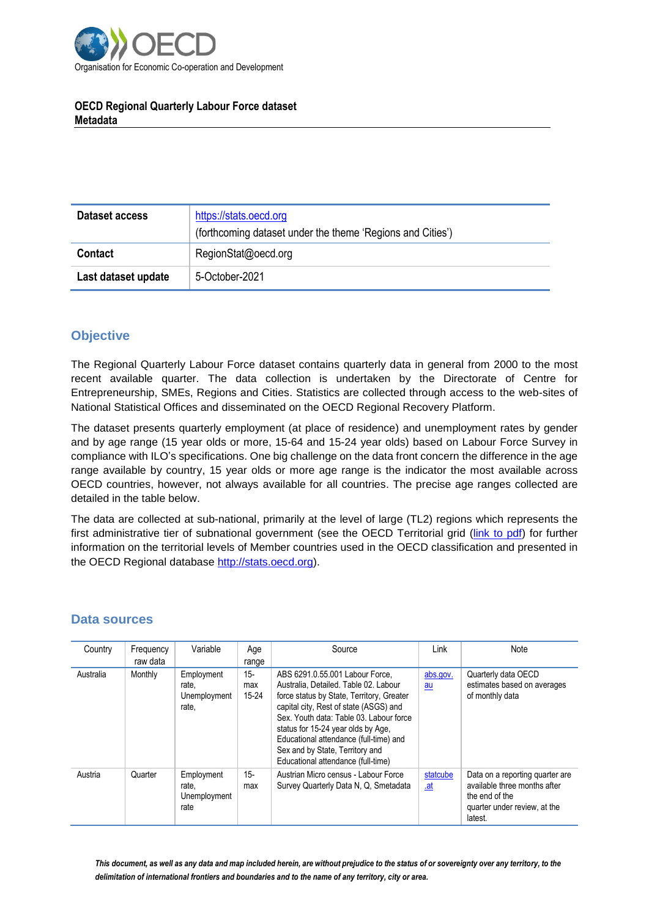

## **OECD Regional Quarterly Labour Force dataset Metadata**

| Dataset access      | https://stats.oecd.org<br>(forthcoming dataset under the theme 'Regions and Cities') |
|---------------------|--------------------------------------------------------------------------------------|
| <b>Contact</b>      | RegionStat@oecd.org                                                                  |
| Last dataset update | 5-October-2021                                                                       |

## **Objective**

The Regional Quarterly Labour Force dataset contains quarterly data in general from 2000 to the most recent available quarter. The data collection is undertaken by the Directorate of Centre for Entrepreneurship, SMEs, Regions and Cities. Statistics are collected through access to the web-sites of National Statistical Offices and disseminated on the OECD Regional Recovery Platform.

The dataset presents quarterly employment (at place of residence) and unemployment rates by gender and by age range (15 year olds or more, 15-64 and 15-24 year olds) based on Labour Force Survey in compliance with ILO's specifications. One big challenge on the data front concern the difference in the age range available by country, 15 year olds or more age range is the indicator the most available across OECD countries, however, not always available for all countries. The precise age ranges collected are detailed in the table below.

The data are collected at sub-national, primarily at the level of large (TL2) regions which represents the first administrative tier of subnational government (see the OECD [Territorial grid \(link to pdf\)](https://www.oecd.org/regional/regional-statistics/territorial-grid.pdf) for further information on the territorial levels of Member countries used in the OECD classification and presented in the OECD Regional database [http://stats.oecd.org\)](http://stats.oecd.org/).

## **Data sources**

| Country   | Frequency<br>raw data | Variable                                     | Age<br>range            | Source                                                                                                                                                                                                                                                                                                                                                              | Link                   | <b>Note</b>                                                                                                                  |
|-----------|-----------------------|----------------------------------------------|-------------------------|---------------------------------------------------------------------------------------------------------------------------------------------------------------------------------------------------------------------------------------------------------------------------------------------------------------------------------------------------------------------|------------------------|------------------------------------------------------------------------------------------------------------------------------|
| Australia | Monthly               | Employment<br>rate,<br>Unemployment<br>rate, | 15-<br>max<br>$15 - 24$ | ABS 6291.0.55.001 Labour Force,<br>Australia. Detailed. Table 02. Labour<br>force status by State, Territory, Greater<br>capital city, Rest of state (ASGS) and<br>Sex. Youth data: Table 03. Labour force<br>status for 15-24 year olds by Age,<br>Educational attendance (full-time) and<br>Sex and by State, Territory and<br>Educational attendance (full-time) | abs.gov.<br>au         | Quarterly data OECD<br>estimates based on averages<br>of monthly data                                                        |
| Austria   | Quarter               | Employment<br>rate,<br>Unemployment<br>rate  | $15 -$<br>max           | Austrian Micro census - Labour Force<br>Survey Quarterly Data N, Q, Smetadata                                                                                                                                                                                                                                                                                       | statcube<br><u>.at</u> | Data on a reporting quarter are<br>available three months after<br>the end of the<br>quarter under review, at the<br>latest. |

*This document, as well as any data and map included herein, are without prejudice to the status of or sovereignty over any territory, to the delimitation of international frontiers and boundaries and to the name of any territory, city or area.*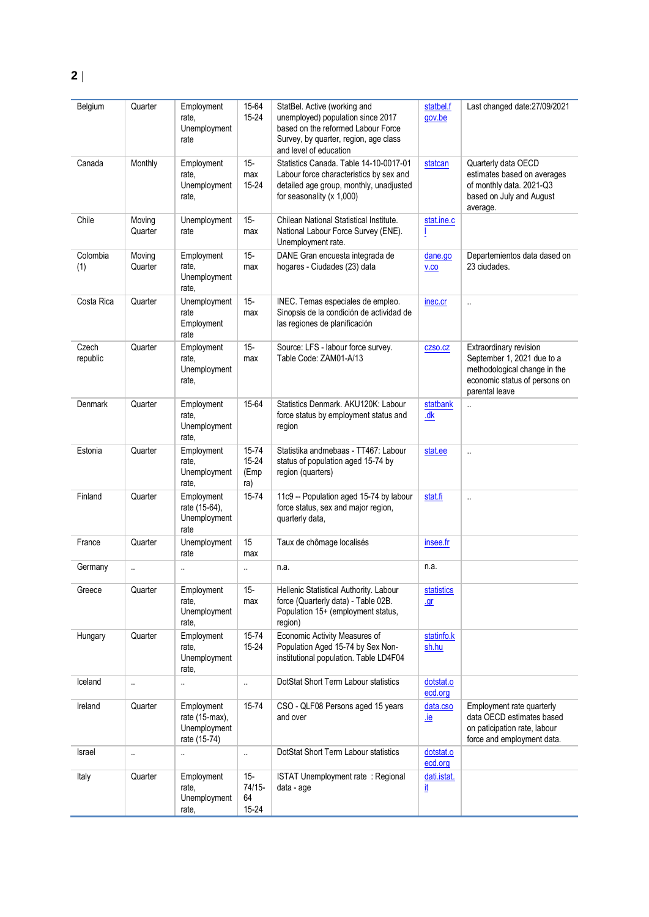| Belgium           | Quarter              | Employment<br>rate,<br>Unemployment<br>rate                     | 15-64<br>15-24                  | StatBel. Active (working and<br>unemployed) population since 2017<br>based on the reformed Labour Force<br>Survey, by quarter, region, age class<br>and level of education | statbel.f<br>gov.be      | Last changed date: 27/09/2021                                                                                                           |
|-------------------|----------------------|-----------------------------------------------------------------|---------------------------------|----------------------------------------------------------------------------------------------------------------------------------------------------------------------------|--------------------------|-----------------------------------------------------------------------------------------------------------------------------------------|
| Canada            | Monthly              | Employment<br>rate,<br>Unemployment<br>rate,                    | $15 -$<br>max<br>15-24          | Statistics Canada. Table 14-10-0017-01<br>Labour force characteristics by sex and<br>detailed age group, monthly, unadjusted<br>for seasonality $(x 1,000)$                | statcan                  | Quarterly data OECD<br>estimates based on averages<br>of monthly data. 2021-Q3<br>based on July and August<br>average.                  |
| Chile             | Moving<br>Quarter    | Unemployment<br>rate                                            | $15-$<br>max                    | Chilean National Statistical Institute.<br>National Labour Force Survey (ENE).<br>Unemployment rate.                                                                       | stat.ine.c<br>L          |                                                                                                                                         |
| Colombia<br>(1)   | Moving<br>Quarter    | Employment<br>rate,<br>Unemployment<br>rate,                    | $15 -$<br>max                   | DANE Gran encuesta integrada de<br>hogares - Ciudades (23) data                                                                                                            | dane.go<br>V.CO          | Departemientos data dased on<br>23 ciudades.                                                                                            |
| Costa Rica        | Quarter              | Unemployment<br>rate<br>Employment<br>rate                      | $15 -$<br>max                   | INEC. Temas especiales de empleo.<br>Sinopsis de la condición de actividad de<br>las regiones de planificación                                                             | inec.cr                  | $\ddot{\phantom{a}}$                                                                                                                    |
| Czech<br>republic | Quarter              | Employment<br>rate.<br>Unemployment<br>rate,                    | $15 -$<br>max                   | Source: LFS - labour force survey.<br>Table Code: ZAM01-A/13                                                                                                               | CZSO.CZ                  | Extraordinary revision<br>September 1, 2021 due to a<br>methodological change in the<br>economic status of persons on<br>parental leave |
| Denmark           | Quarter              | Employment<br>rate,<br>Unemployment<br>rate,                    | 15-64                           | Statistics Denmark. AKU120K: Labour<br>force status by employment status and<br>region                                                                                     | statbank<br>dk           |                                                                                                                                         |
| Estonia           | Quarter              | Employment<br>rate,<br>Unemployment<br>rate,                    | 15-74<br>15-24<br>(Emp<br>ra)   | Statistika andmebaas - TT467: Labour<br>status of population aged 15-74 by<br>region (quarters)                                                                            | stat.ee                  | $\ddot{\phantom{a}}$                                                                                                                    |
| Finland           | Quarter              | Employment<br>rate (15-64),<br>Unemployment<br>rate             | 15-74                           | 11c9 -- Population aged 15-74 by labour<br>force status, sex and major region,<br>quarterly data,                                                                          | stat.fi                  | ä,                                                                                                                                      |
| France            | Quarter              | Unemployment<br>rate                                            | 15<br>max                       | Taux de chômage localisés                                                                                                                                                  | insee.fr                 |                                                                                                                                         |
| Germany           | $\ddot{\phantom{1}}$ | $\ddotsc$                                                       | $\ddot{\phantom{a}}$            | n.a.                                                                                                                                                                       | n.a.                     |                                                                                                                                         |
| Greece            | Quarter              | Employment<br>rate,<br>Unemployment<br>rate,                    | $15 -$<br>max                   | Hellenic Statistical Authority. Labour<br>force (Quarterly data) - Table 02B.<br>Population 15+ (employment status,<br>region)                                             | <b>statistics</b><br>$q$ |                                                                                                                                         |
| Hungary           | Quarter              | Employment<br>rate,<br>Unemployment<br>rate,                    | 15-74<br>15-24                  | Economic Activity Measures of<br>Population Aged 15-74 by Sex Non-<br>institutional population. Table LD4F04                                                               | statinfo.k<br>sh.hu      |                                                                                                                                         |
| Iceland           | $\ddotsc$            | $\cdot$ .                                                       | $\ldots$                        | DotStat Short Term Labour statistics                                                                                                                                       | dotstat.o<br>ecd.org     |                                                                                                                                         |
| Ireland           | Quarter              | Employment<br>rate $(15-max)$ ,<br>Unemployment<br>rate (15-74) | 15-74                           | CSO - QLF08 Persons aged 15 years<br>and over                                                                                                                              | data.cso<br><u>.ie</u>   | Employment rate quarterly<br>data OECD estimates based<br>on paticipation rate, labour<br>force and employment data.                    |
| Israel            | $\ddotsc$            | $\ldots$                                                        | $\ldots$                        | DotStat Short Term Labour statistics                                                                                                                                       | dotstat.o<br>ecd.org     |                                                                                                                                         |
| Italy             | Quarter              | Employment<br>rate,<br>Unemployment<br>rate,                    | $15 -$<br>74/15-<br>64<br>15-24 | ISTAT Unemployment rate: Regional<br>data - age                                                                                                                            | dati.istat.<br><u>it</u> |                                                                                                                                         |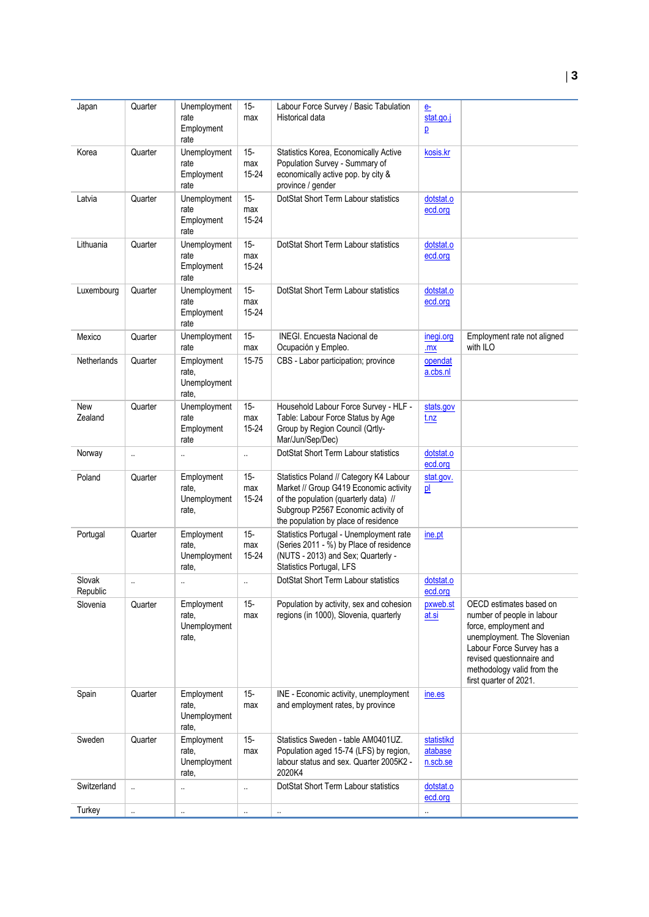| Japan                 | Quarter              | Unemployment<br>rate<br>Employment<br>rate   | $15 -$<br>max              | Labour Force Survey / Basic Tabulation<br>Historical data                                                                                                                                                 | $e$ -<br>stat.go.j<br>$\overline{P}$ |                                                                                                                                                                                                                                 |
|-----------------------|----------------------|----------------------------------------------|----------------------------|-----------------------------------------------------------------------------------------------------------------------------------------------------------------------------------------------------------|--------------------------------------|---------------------------------------------------------------------------------------------------------------------------------------------------------------------------------------------------------------------------------|
| Korea                 | Quarter              | Unemployment<br>rate<br>Employment<br>rate   | $15 -$<br>max<br>$15 - 24$ | Statistics Korea, Economically Active<br>Population Survey - Summary of<br>economically active pop. by city &<br>province / gender                                                                        | kosis.kr                             |                                                                                                                                                                                                                                 |
| Latvia                | Quarter              | Unemployment<br>rate<br>Employment<br>rate   | $15 -$<br>max<br>15-24     | DotStat Short Term Labour statistics                                                                                                                                                                      | dotstat.o<br>ecd.org                 |                                                                                                                                                                                                                                 |
| Lithuania             | Quarter              | Unemployment<br>rate<br>Employment<br>rate   | $15 -$<br>max<br>15-24     | DotStat Short Term Labour statistics                                                                                                                                                                      | dotstat.o<br>ecd.org                 |                                                                                                                                                                                                                                 |
| Luxembourg            | Quarter              | Unemployment<br>rate<br>Employment<br>rate   | $15 -$<br>max<br>15-24     | DotStat Short Term Labour statistics                                                                                                                                                                      | dotstat.o<br>ecd.org                 |                                                                                                                                                                                                                                 |
| Mexico                | Quarter              | Unemployment<br>rate                         | $15 -$<br>max              | INEGI. Encuesta Nacional de<br>Ocupación y Empleo.                                                                                                                                                        | inegi.org<br>.mx                     | Employment rate not aligned<br>with ILO                                                                                                                                                                                         |
| Netherlands           | Quarter              | Employment<br>rate.<br>Unemployment<br>rate, | 15-75                      | CBS - Labor participation; province                                                                                                                                                                       | opendat<br>a.cbs.nl                  |                                                                                                                                                                                                                                 |
| <b>New</b><br>Zealand | Quarter              | Unemployment<br>rate<br>Employment<br>rate   | $15 -$<br>max<br>15-24     | Household Labour Force Survey - HLF -<br>Table: Labour Force Status by Age<br>Group by Region Council (Qrtly-<br>Mar/Jun/Sep/Dec)                                                                         | stats.gov<br>t.nz                    |                                                                                                                                                                                                                                 |
| Norway                | $\ddot{\phantom{a}}$ | Ω.                                           | $\ddot{\phantom{a}}$       | DotStat Short Term Labour statistics                                                                                                                                                                      | dotstat.o<br>ecd.org                 |                                                                                                                                                                                                                                 |
| Poland                | Quarter              | Employment<br>rate.<br>Unemployment<br>rate, | $15 -$<br>max<br>15-24     | Statistics Poland // Category K4 Labour<br>Market // Group G419 Economic activity<br>of the population (quarterly data) //<br>Subgroup P2567 Economic activity of<br>the population by place of residence | stat.gov.<br>p                       |                                                                                                                                                                                                                                 |
| Portugal              | Quarter              | Employment<br>rate.<br>Unemployment<br>rate, | $15 -$<br>max<br>15-24     | Statistics Portugal - Unemployment rate<br>(Series 2011 - %) by Place of residence<br>(NUTS - 2013) and Sex; Quarterly -<br>Statistics Portugal, LFS                                                      | ine.pt                               |                                                                                                                                                                                                                                 |
| Slovak<br>Republic    |                      |                                              |                            | DotStat Short Term Labour statistics                                                                                                                                                                      | dotstat.o<br>ecd.org                 |                                                                                                                                                                                                                                 |
| Slovenia              | Quarter              | Employment<br>rate.<br>Unemployment<br>rate, | $15 -$<br>max              | Population by activity, sex and cohesion<br>regions (in 1000), Slovenia, quarterly                                                                                                                        | pxweb.st<br>at.si                    | OECD estimates based on<br>number of people in labour<br>force, employment and<br>unemployment. The Slovenian<br>Labour Force Survey has a<br>revised questionnaire and<br>methodology valid from the<br>first quarter of 2021. |
| Spain                 | Quarter              | Employment<br>rate,<br>Unemployment<br>rate, | $15 -$<br>max              | INE - Economic activity, unemployment<br>and employment rates, by province                                                                                                                                | ine.es                               |                                                                                                                                                                                                                                 |
| Sweden                | Quarter              | Employment<br>rate,<br>Unemployment<br>rate, | $15 -$<br>max              | Statistics Sweden - table AM0401UZ.<br>Population aged 15-74 (LFS) by region,<br>labour status and sex. Quarter 2005K2 -<br>2020K4                                                                        | statistikd<br>atabase<br>n.scb.se    |                                                                                                                                                                                                                                 |
| Switzerland           | $\ddotsc$            |                                              | $\ddotsc$                  | DotStat Short Term Labour statistics                                                                                                                                                                      | dotstat.o<br>ecd.org                 |                                                                                                                                                                                                                                 |
| Turkey                | $\ldots$             | $\ddot{\phantom{1}}$                         | $\ldots$                   | $\ldots$                                                                                                                                                                                                  | $\cdot$ .                            |                                                                                                                                                                                                                                 |